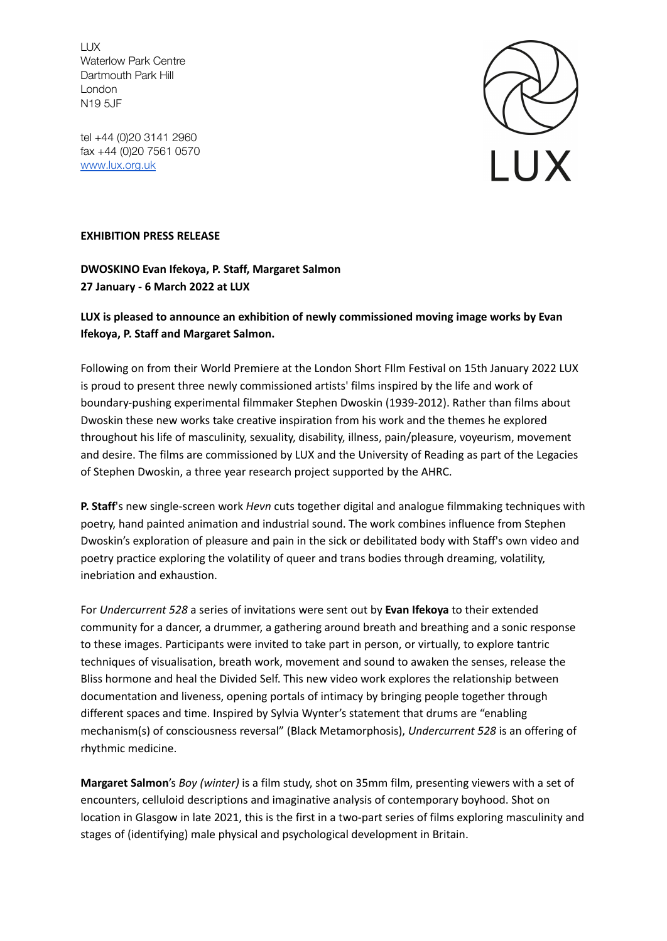LUX Waterlow Park Centre Dartmouth Park Hill London N19 5JF

tel +44 (0)20 3141 2960 fax +44 (0)20 7561 0570 [www.lux.org.uk](http://www.lux.org.uk)



## **EXHIBITION PRESS RELEASE**

**DWOSKINO Evan Ifekoya, P. Staff, Margaret Salmon 27 January - 6 March 2022 at LUX**

## **LUX is pleased to announce an exhibition of newly commissioned moving image works by Evan Ifekoya, P. Staff and Margaret Salmon.**

Following on from their World Premiere at the London Short FIlm Festival on 15th January 2022 LUX is proud to present three newly commissioned artists' films inspired by the life and work of boundary-pushing experimental filmmaker Stephen Dwoskin (1939-2012). Rather than films about Dwoskin these new works take creative inspiration from his work and the themes he explored throughout his life of masculinity, sexuality, disability, illness, pain/pleasure, voyeurism, movement and desire. The films are commissioned by LUX and the University of Reading as part of the Legacies of Stephen Dwoskin, a three year research project supported by the AHRC.

**P. Staff**'s new single-screen work *Hevn* cuts together digital and analogue filmmaking techniques with poetry, hand painted animation and industrial sound. The work combines influence from Stephen Dwoskin's exploration of pleasure and pain in the sick or debilitated body with Staff's own video and poetry practice exploring the volatility of queer and trans bodies through dreaming, volatility, inebriation and exhaustion.

For *Undercurrent 528* a series of invitations were sent out by **Evan Ifekoya** to their extended community for a dancer, a drummer, a gathering around breath and breathing and a sonic response to these images. Participants were invited to take part in person, or virtually, to explore tantric techniques of visualisation, breath work, movement and sound to awaken the senses, release the Bliss hormone and heal the Divided Self. This new video work explores the relationship between documentation and liveness, opening portals of intimacy by bringing people together through different spaces and time. Inspired by Sylvia Wynter's statement that drums are "enabling mechanism(s) of consciousness reversal" (Black Metamorphosis), *Undercurrent 528* is an offering of rhythmic medicine.

**Margaret Salmon**'s *Boy (winter)* is a film study, shot on 35mm film, presenting viewers with a set of encounters, celluloid descriptions and imaginative analysis of contemporary boyhood. Shot on location in Glasgow in late 2021, this is the first in a two-part series of films exploring masculinity and stages of (identifying) male physical and psychological development in Britain.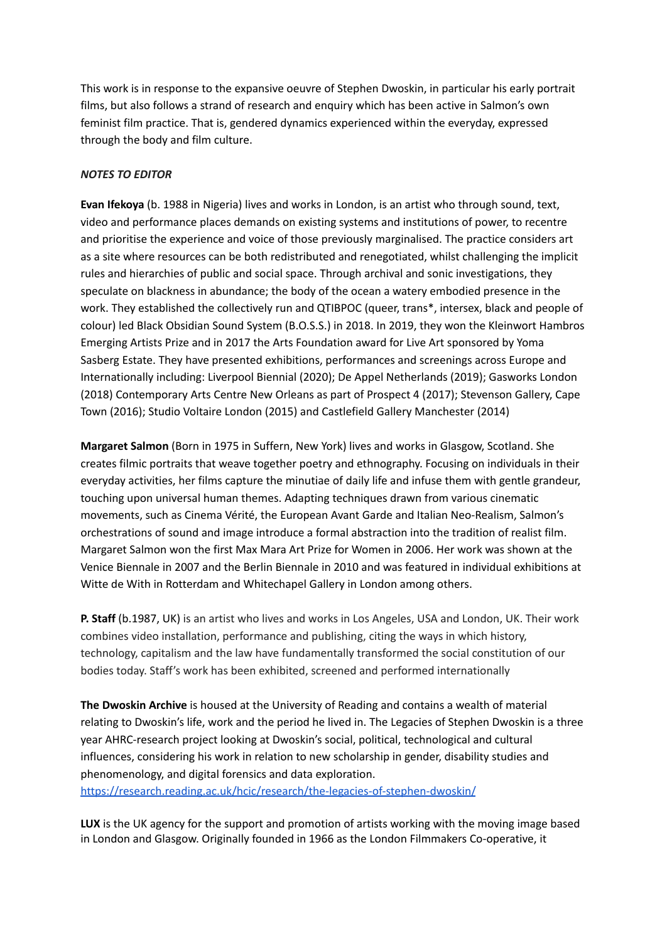This work is in response to the expansive oeuvre of Stephen Dwoskin, in particular his early portrait films, but also follows a strand of research and enquiry which has been active in Salmon's own feminist film practice. That is, gendered dynamics experienced within the everyday, expressed through the body and film culture.

## *NOTES TO EDITOR*

**Evan Ifekoya** (b. 1988 in Nigeria) lives and works in London, is an artist who through sound, text, video and performance places demands on existing systems and institutions of power, to recentre and prioritise the experience and voice of those previously marginalised. The practice considers art as a site where resources can be both redistributed and renegotiated, whilst challenging the implicit rules and hierarchies of public and social space. Through archival and sonic investigations, they speculate on blackness in abundance; the body of the ocean a watery embodied presence in the work. They established the collectively run and QTIBPOC (queer, trans\*, intersex, black and people of colour) led Black Obsidian Sound System (B.O.S.S.) in 2018. In 2019, they won the Kleinwort Hambros Emerging Artists Prize and in 2017 the Arts Foundation award for Live Art sponsored by Yoma Sasberg Estate. They have presented exhibitions, performances and screenings across Europe and Internationally including: Liverpool Biennial (2020); De Appel Netherlands (2019); Gasworks London (2018) Contemporary Arts Centre New Orleans as part of Prospect 4 (2017); Stevenson Gallery, Cape Town (2016); Studio Voltaire London (2015) and Castlefield Gallery Manchester (2014)

**Margaret Salmon** (Born in 1975 in Suffern, New York) lives and works in Glasgow, Scotland. She creates filmic portraits that weave together poetry and ethnography. Focusing on individuals in their everyday activities, her films capture the minutiae of daily life and infuse them with gentle grandeur, touching upon universal human themes. Adapting techniques drawn from various cinematic movements, such as Cinema Vérité, the European Avant Garde and Italian Neo-Realism, Salmon's orchestrations of sound and image introduce a formal abstraction into the tradition of realist film. Margaret Salmon won the first Max Mara Art Prize for Women in 2006. Her work was shown at the Venice Biennale in 2007 and the Berlin Biennale in 2010 and was featured in individual exhibitions at Witte de With in Rotterdam and Whitechapel Gallery in London among others.

**P. Staff** (b.1987, UK) is an artist who lives and works in Los Angeles, USA and London, UK. Their work combines video installation, performance and publishing, citing the ways in which history, technology, capitalism and the law have fundamentally transformed the social constitution of our bodies today. Staff's work has been exhibited, screened and performed internationally

**The Dwoskin Archive** is housed at the University of Reading and contains a wealth of material relating to Dwoskin's life, work and the period he lived in. The Legacies of Stephen Dwoskin is a three year AHRC-research project looking at Dwoskin's social, political, technological and cultural influences, considering his work in relation to new scholarship in gender, disability studies and phenomenology, and digital forensics and data exploration. <https://research.reading.ac.uk/hcic/research/the-legacies-of-stephen-dwoskin/>

**LUX** is the UK agency for the support and promotion of artists working with the moving image based in London and Glasgow. Originally founded in 1966 as the London Filmmakers Co-operative, it